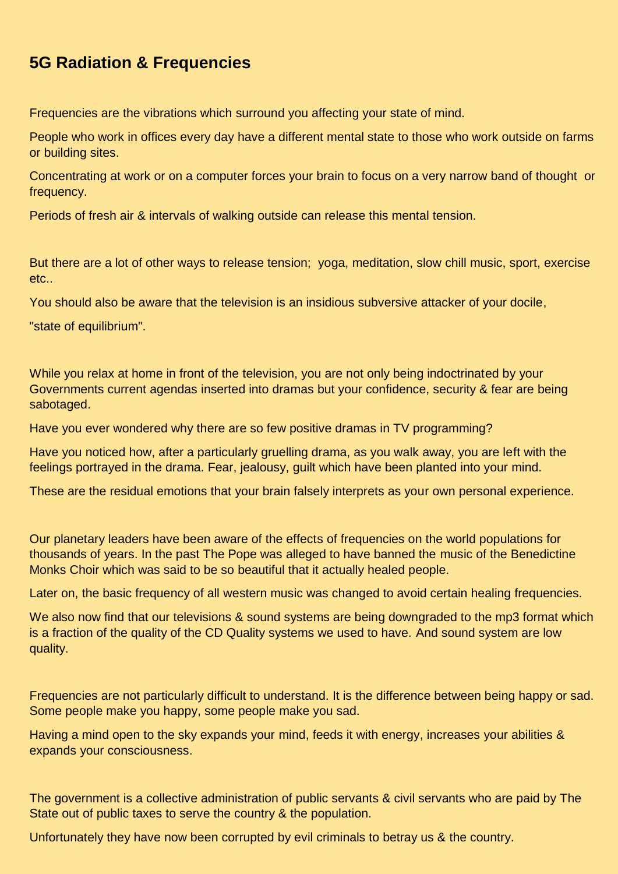## **5G Radiation & Frequencies**

Frequencies are the vibrations which surround you affecting your state of mind.

People who work in offices every day have a different mental state to those who work outside on farms or building sites.

Concentrating at work or on a computer forces your brain to focus on a very narrow band of thought or frequency.

Periods of fresh air & intervals of walking outside can release this mental tension.

But there are a lot of other ways to release tension; yoga, meditation, slow chill music, sport, exercise etc..

You should also be aware that the television is an insidious subversive attacker of your docile,

"state of equilibrium".

While you relax at home in front of the television, you are not only being indoctrinated by your Governments current agendas inserted into dramas but your confidence, security & fear are being sabotaged.

Have you ever wondered why there are so few positive dramas in TV programming?

Have you noticed how, after a particularly gruelling drama, as you walk away, you are left with the feelings portrayed in the drama. Fear, jealousy, guilt which have been planted into your mind.

These are the residual emotions that your brain falsely interprets as your own personal experience.

Our planetary leaders have been aware of the effects of frequencies on the world populations for thousands of years. In the past The Pope was alleged to have banned the music of the Benedictine Monks Choir which was said to be so beautiful that it actually healed people.

Later on, the basic frequency of all western music was changed to avoid certain healing frequencies.

We also now find that our televisions & sound systems are being downgraded to the mp3 format which is a fraction of the quality of the CD Quality systems we used to have. And sound system are low quality.

Frequencies are not particularly difficult to understand. It is the difference between being happy or sad. Some people make you happy, some people make you sad.

Having a mind open to the sky expands your mind, feeds it with energy, increases your abilities & expands your consciousness.

The government is a collective administration of public servants & civil servants who are paid by The State out of public taxes to serve the country & the population.

Unfortunately they have now been corrupted by evil criminals to betray us & the country.